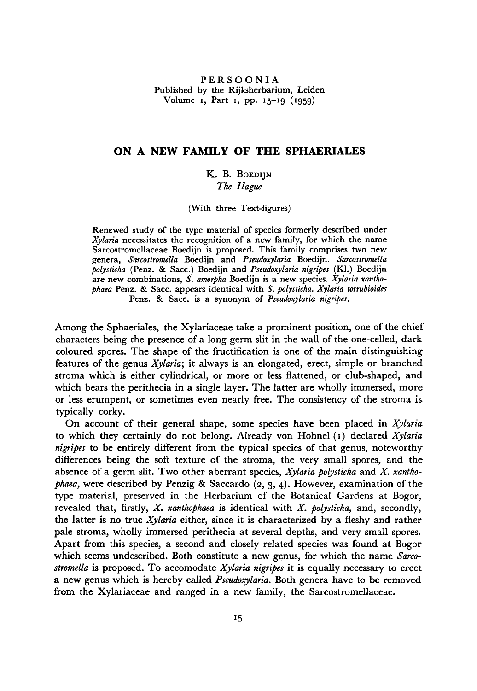PERSOONIA Published by the Rijksherbarium, Leiden Volume i, Part i, pp. 15-19 (1959)

## On <sup>a</sup> new family of the Sphaeriales

## K. B. BOEDIJN The Hague

(With three Text-figures)

Renewed study of the type material of species formerly described under Xylaria necessitates the recognition of <sup>a</sup> new family, for which the name Sarcostromellaceae Boedijn is proposed. This family comprises two new genera, Sarcostromella Boedijn and Pseudoxylaria Boedijn. Sarcostromella polysticha (Penz. & Sacc.) Boedijn and Pseudoxylaria nigripes (Kl.) Boedijn are new combinations, S. amorpha Boedijn is a new species. Xylaria xanthophaea Penz. & Sacc. appears identical with S. polysticha. Xylaria torrubioides Penz. & Sacc. is a synonym of Pseudoxylaria nigripes.

Among the Sphaeriales, the Xylariaceae take a prominent position, one of the chief characters being the presence of <sup>a</sup> long germ slit in the wall of the one-celled, dark coloured spores. The shape of the fructification is one of the main distinguishing features of the genus  $Xylaria$ ; it always is an elongated, erect, simple or branched stroma which is either cylindrical, or more or less flattened, or club-shaped, and which bears the perithecia in a single layer. The latter are wholly immersed, more or less erumpent, or sometimes even nearly free. The consistency of the stroma is typically corky.

On account of their general shape, some species have been placed in  $Xylaria$ to which they certainly do not belong. Already von Höhnel  $(i)$  declared *Xylaria* nigripes to be entirely different from the typical species of that genus, noteworthy differences being the soft texture of the stroma, the very small spores, and the absence of a germ slit. Two other aberrant species,  $Xylaria$  polysticha and  $X$ . xanthophaea, were described by Penzig & Saccardo  $(2, 3, 4)$ . However, examination of the type material, preserved in the Herbarium of the Botanical Gardens at Bogor, revealed that, firstly,  $X$ . xanthophaea is identical with  $X$ . polysticha, and, secondly, the latter is no true  $X$ *ylaria* either, since it is characterized by a fleshy and rather pale stroma, wholly immersed perithecia at several depths, and very small spores. Apart from this species, a second and closely related species was found at Bogor which seems undescribed. Both constitute a new genus, for which the name Sarcostromella is proposed. To accomodate  $X$ ylaria nigripes it is equally necessary to erect a new genus which is hereby called *Pseudoxylaria*. Both genera have to be removed from the Xylariaceae and ranged in a new family, the Sarcostromellaceae.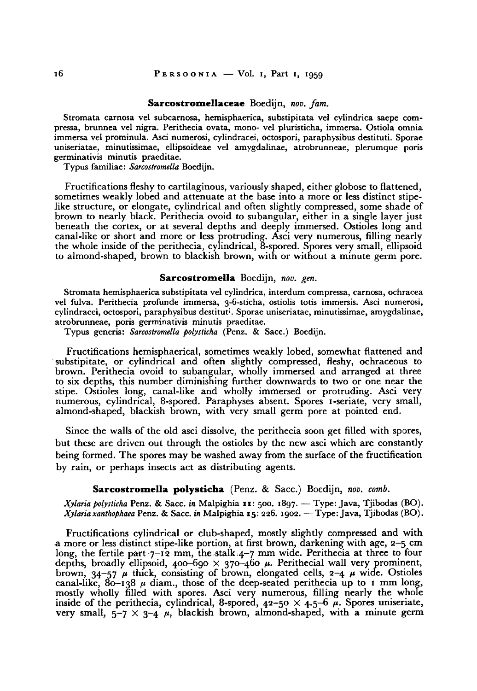### Sarcostromellaceae Boedijn, nov. fam.

Stromata carnosa vel subcarnosa, hemisphaerica, substipitata vel cylindrica saepe compressa, brunnea vel nigra. Perithecia ovata, mono- vel pluristicha, immersa. Ostiola omnia immersa vel prominula. Asci numerosi, cylindracei, octospori, paraphysibus destituti. Sporae uniseriatae, minutissimae, ellipsoideae vel amygdalinae, atrobrunneae, plerumque poris germinativis minutis praeditae.

Typus familiae: Sarcostromella Boedijn.

Fructifications fleshy to cartilaginous, variously shaped, either globose to flattened, sometimes weakly lobed and attenuate at the base into <sup>a</sup> more or less distinct stipelike structure, or elongate, cylindrical and often slightly compressed, some shade of brown to nearly black. Perithecia ovoid to subangular, either in a single layer just beneath the cortex, or at several depths and deeply immersed. Ostioles long and canal-like or short and more or less protruding. Asci very numerous, filling nearly the whole inside of the perithecia, cylindrica], 8-spored. Spores very small, ellipsoid to almond-shaped, brown to blackish brown, with or without <sup>a</sup> minute germ pore.

### Sarcostromella Boedijn, nov. gen.

Stromata hemisphaerica substipitata vel cylindrica, interdum compressa, carnosa, ochracea vel fulva. Perithecia profunde immersa, 3-6-sticha, ostiolis totis immersis. Asci numerosi, cylindracei, octospori, paraphysibus destitut'. Sporae uniseriatae, minutissimae, amygdalinae, atrobrunneae, poris germinativis minutis praeditae.

Typus generis: Sarcostromella polysticha (Penz. & Sacc.) Boedijn.

Fructifications hemisphaerical, sometimes weakly lobed, somewhat flattened and substipitate, or cylindrical and often slightly compressed, fleshy, ochraceous to brown. Perithecia ovoid to subangular, wholly immersed and arranged at three to six depths, this number diminishing further downwards to two or one near the stipe. Ostioles long, canal-like and wholly immersed or protruding. Asci very numerous, cylindrical, 8-spored. Paraphyses absent. Spores <sup>1</sup> -seriate, very small, almond-shaped, blackish brown, with very small germ pore at pointed end.

Since the walls of the old asci dissolve, the perithecia soon get filled with spores, but these are driven out through the ostioles by the new asci which are constantly being formed. The spores may be washed away from the surface of the fructification by rain, or perhaps insects act as distributing agents.

### Sarcostromella polysticha (Penz. & Sacc.) Boedijn, nov. comb.

Xylaria polysticha Penz. & Sacc. in Malpighia 11: 500. 1897. — Type: Java, Tjibodas (BO).  $X$ ylaria xanthophaea Penz. & Sacc. in Malpighia 15: 226. 1902. — Type: Java, Tjibodas (BO).

Fructifications cylindrical or club-shaped, mostly slightly compressed and with amore or less distinct stipe-like portion, at first brown, darkening with age, 2-5 cm long, the fertile part  $7^{-12}$  mm, the stalk  $4-7$  mm wide. Perithecia at three to four depths, broadly ellipsoid, 400-690  $\times$  370-460  $\mu$ . Perithecial wall very prominent, brown,  $34-57$   $\mu$  thick, consisting of brown, elongated cells,  $2-4$   $\mu$  wide. Ostioles canal-like,  $80 - 138$   $\mu$  diam., those of the deep-seated perithecia up to 1 mm long, mostly wholly filled with spores. Asci very numerous, filling nearly the whole inside of the perithecia, cylindrical, 8-spored,  $42-50 \times 4.5-6 \mu$ . Spores uniseriate, very small,  $5-7 \times 3-4$   $\mu$ , blackish brown, almond-shaped, with a minute germ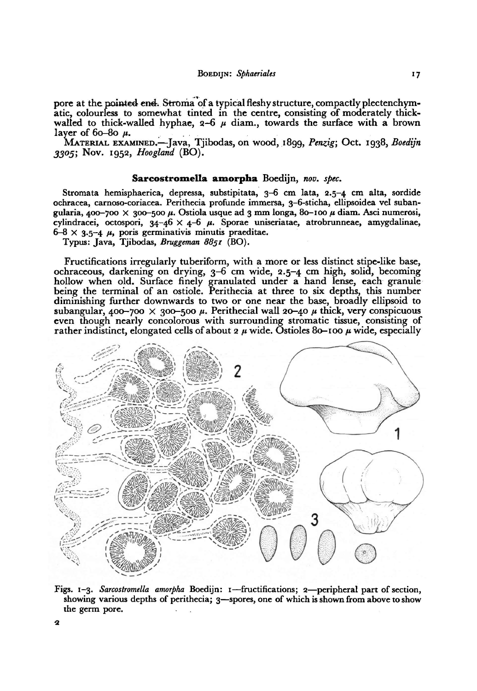pore at the pointed end. Stroma of a typical fleshy structure, compactly plectenchymatic, colourless to somewhat tinted in the centre, consisting of moderately thickwalled to thick-walled hyphae,  $2-6$   $\mu$  diam., towards the surface with a brown layer of  $60-80$   $\mu$ .

MATERIAL EXAMINED.—Java, Tjibodas, on wood, 1899, Penzig; Oct. 1938, Boedijn 3305; Nov. 1952, Hoogland (BO).

### Sarcostromella amorpha Boedijn, nov. spec.

Stromata hemisphaerica, depressa, substipitata, 3-6 cm lata, 2.5-4 cm alta, sordide ochracea, carnoso-coriacea. Perithecia profunde immersa, 3-6-sticha, ellipsoidea vel subangularia, 400-700 × 300-500  $\mu$ . Ostiola usque ad 3 mm longa, 80-100  $\mu$  diam. Asci numerosi, cylindracei, octospori,  $34-46 \times 4-6$   $\mu$ . Sporae uniseriatae, atrobrunneae, amygdalinae,  $6-8 \times 3.5-4$   $\mu$ , poris germinativis minutis praeditae.

Typus: Java, Tjibodas, Bruggeman 8851 (BO).

Fructifications irregularly tuberiform, with a more or less distinct stipe-like base, ochraceous, darkening on drying, 3-6 cm wide, 2.5-4 cm high, solid, becoming hollow when old. Surface finely granulated under a hand lense, each granule being the terminal of an ostiole. Perithecia at three to six depths, this number diminishing further downwards to two or one near the base, broadly ellipsoid to subangular, 400-700  $\times$  300-500  $\mu$ . Perithecial wall 20-40  $\mu$  thick, very conspicuous even though nearly concolorous with surrounding stromatic tissue, consisting of rather indistinct, elongated cells of about 2  $\mu$  wide. Ostioles 80-100  $\mu$  wide, especially



Figs. 1-3. Sarcostromella amorpha Boedijn: 1-fructifications; 2-peripheral part of section, showing various depths of perithecia; 3—spores, one of which is shown from above to show the germ pore.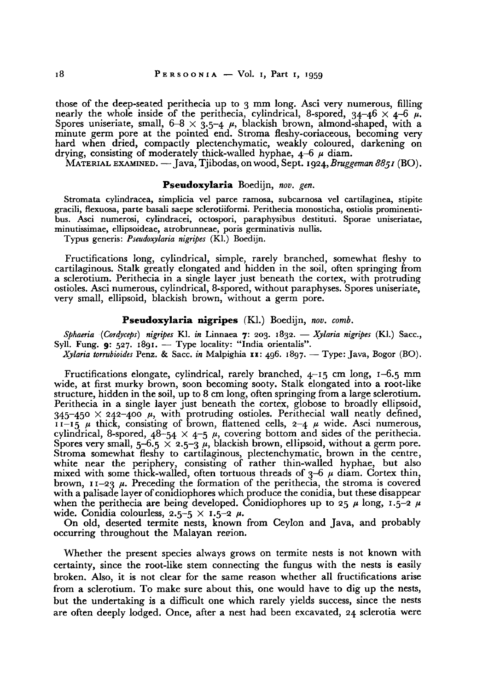those of the deep-seated perithecia up to <sup>3</sup> mm long. Asci very numerous, filling nearly the whole inside of the perithecia, cylindrical, 8-spored,  $34-46 \times 4-6$   $\mu$ . Spores uniseriate, small,  $6-8 \times 3.5-4$   $\mu$ , blackish brown, almond-shaped, with a minute germ pore at the pointed end. Stroma fleshy-coriaceous, becoming very hard when dried, compactly plectenchymatic, weakly coloured, darkening on drying, consisting of moderately thick-walled hyphae,  $4-6$   $\mu$  diam.

MATERIAL EXAMINED. — Java, Tjibodas, onwood, Sept. 1924,Bruggeman 8851 (BO).

# Pseudoxylaria Boedijn, nov. gen.

Stromata cylindracea, simplicia vel parce ramosa, subcarnosa vel cartilaginea, stipite gracili, flexuosa, parte basali saepe sclerotiiformi. Perithecia monosticha, ostiolis prominentibus. Asci numerosi, cylindracei, octospori, paraphysibus destituu. Sporae uniseriatae, minutissimae, ellipsoideae, atrobrunneae, poris germinativis nullis.

Typus generis: Pseudoxylaria nigripes (Kl.) Boedijn.

Fructifications long, cylindrical, simple, rarely branched, somewhat fleshy to cartilaginous. Stalk greatly elongated and hidden in the soil, often springing from <sup>a</sup> sclerotium. Perithecia in a single layer just beneath the cortex, with protruding ostioles. Asci numerous, cylindrical, 8-spored, without paraphyses. Spores uniseriate, very small, ellipsoid, blackish brown, without a germ pore.

### Pseudoxylaria nigripes (Kl.) Boedijn, nov. comb.

Sphaeria (Cordyceps) nigripes Kl. in Linnaea 7: 203. 1832. — Xylaria nigripes (Kl.) Sacc., Syll. Fung. 9: 527. 1891. — Type locality: "India orientalis".

Xylaria torrubioides Penz. & Sacc. in Malpighia 11: 496. 1897. — Type: Java, Bogor (BO).

Fructifications elongate, cylindrical, rarely branched, 4-15 cm long, 1—6.5 mm wide, at first murky brown, soon becoming sooty. Stalk elongated into a root-like structure, hidden in the soil, up to <sup>8</sup> cm long, often springing from <sup>a</sup> large sclerotium. Perithecia in <sup>a</sup> single layer just beneath the cortex, globose to broadly ellipsoid, 345-450 <sup>X</sup> 242-400 p, with protruding ostioles. Perithecial wall neatly defined,  $11-15$   $\mu$  thick, consisting of brown, flattened cells,  $2-4$   $\mu$  wide. Asci numerous, cylindrical, 8-spored,  $48-54 \times 4-5 \mu$ , covering bottom and sides of the perithecia. Spores very small,  $5-6.5 \times 2.5-3$   $\mu$ , blackish brown, ellipsoid, without a germ pore. Stroma somewhat fleshy to cartilaginous, plectenchymatic, brown in the centre, white near the periphery, consisting of rather thin-walled hyphae, but also mixed with some thick-walled, often tortuous threads of  $3-6$   $\mu$  diam. Cortex thin, brown,  $11-23$   $\mu$ . Preceding the formation of the perithecia, the stroma is covered with a palisade layer of conidiophores which produce the conidia, but these disappear when the perithecia are being developed. Conidiophores up to 25  $\mu$  long, 1.5-2  $\mu$ wide. Conidia colourless,  $2.5-5 \times 1.5-2 \mu$ .

On old, deserted termite nests, known from Ceylon and Java, and probably occurring throughout the Malayan reeion.

Whether the present species always grows on termite nests is not known with certainty, since the root-like stem connecting the fungus with the nests is easily broken. Also, it is not clear for the same reason whether all fructifications arise from <sup>a</sup> sclerotium. To make sure about this, one would have to dig up the nests, but the undertaking is <sup>a</sup> difficult one which rarely yields success, since the nests are often deeply lodged. Once, after <sup>a</sup> nest had been excavated, <sup>24</sup> sclerotia were